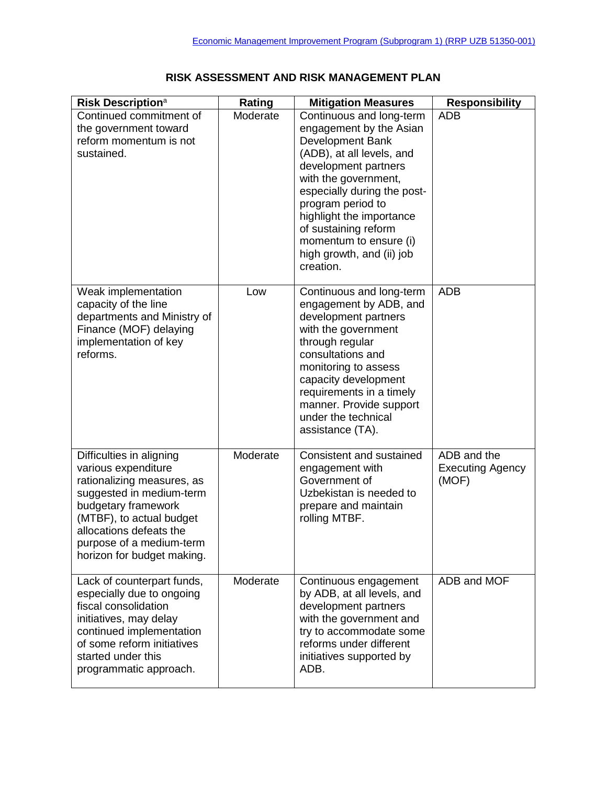| Risk Description <sup>a</sup>                                                                                                                                                                                                                     | Rating   | <b>Mitigation Measures</b>                                                                                                                                                                                                                                                                                                       | <b>Responsibility</b>                           |
|---------------------------------------------------------------------------------------------------------------------------------------------------------------------------------------------------------------------------------------------------|----------|----------------------------------------------------------------------------------------------------------------------------------------------------------------------------------------------------------------------------------------------------------------------------------------------------------------------------------|-------------------------------------------------|
| Continued commitment of<br>the government toward<br>reform momentum is not<br>sustained.                                                                                                                                                          | Moderate | Continuous and long-term<br>engagement by the Asian<br>Development Bank<br>(ADB), at all levels, and<br>development partners<br>with the government,<br>especially during the post-<br>program period to<br>highlight the importance<br>of sustaining reform<br>momentum to ensure (i)<br>high growth, and (ii) job<br>creation. | <b>ADB</b>                                      |
| Weak implementation<br>capacity of the line<br>departments and Ministry of<br>Finance (MOF) delaying<br>implementation of key<br>reforms.                                                                                                         | Low      | Continuous and long-term<br>engagement by ADB, and<br>development partners<br>with the government<br>through regular<br>consultations and<br>monitoring to assess<br>capacity development<br>requirements in a timely<br>manner. Provide support<br>under the technical<br>assistance (TA).                                      | <b>ADB</b>                                      |
| Difficulties in aligning<br>various expenditure<br>rationalizing measures, as<br>suggested in medium-term<br>budgetary framework<br>(MTBF), to actual budget<br>allocations defeats the<br>purpose of a medium-term<br>horizon for budget making. | Moderate | Consistent and sustained<br>engagement with<br>Government of<br>Uzbekistan is needed to<br>prepare and maintain<br>rolling MTBF.                                                                                                                                                                                                 | ADB and the<br><b>Executing Agency</b><br>(MOF) |
| Lack of counterpart funds,<br>especially due to ongoing<br>fiscal consolidation<br>initiatives, may delay<br>continued implementation<br>of some reform initiatives<br>started under this<br>programmatic approach.                               | Moderate | Continuous engagement<br>by ADB, at all levels, and<br>development partners<br>with the government and<br>try to accommodate some<br>reforms under different<br>initiatives supported by<br>ADB.                                                                                                                                 | ADB and MOF                                     |

## **RISK ASSESSMENT AND RISK MANAGEMENT PLAN**